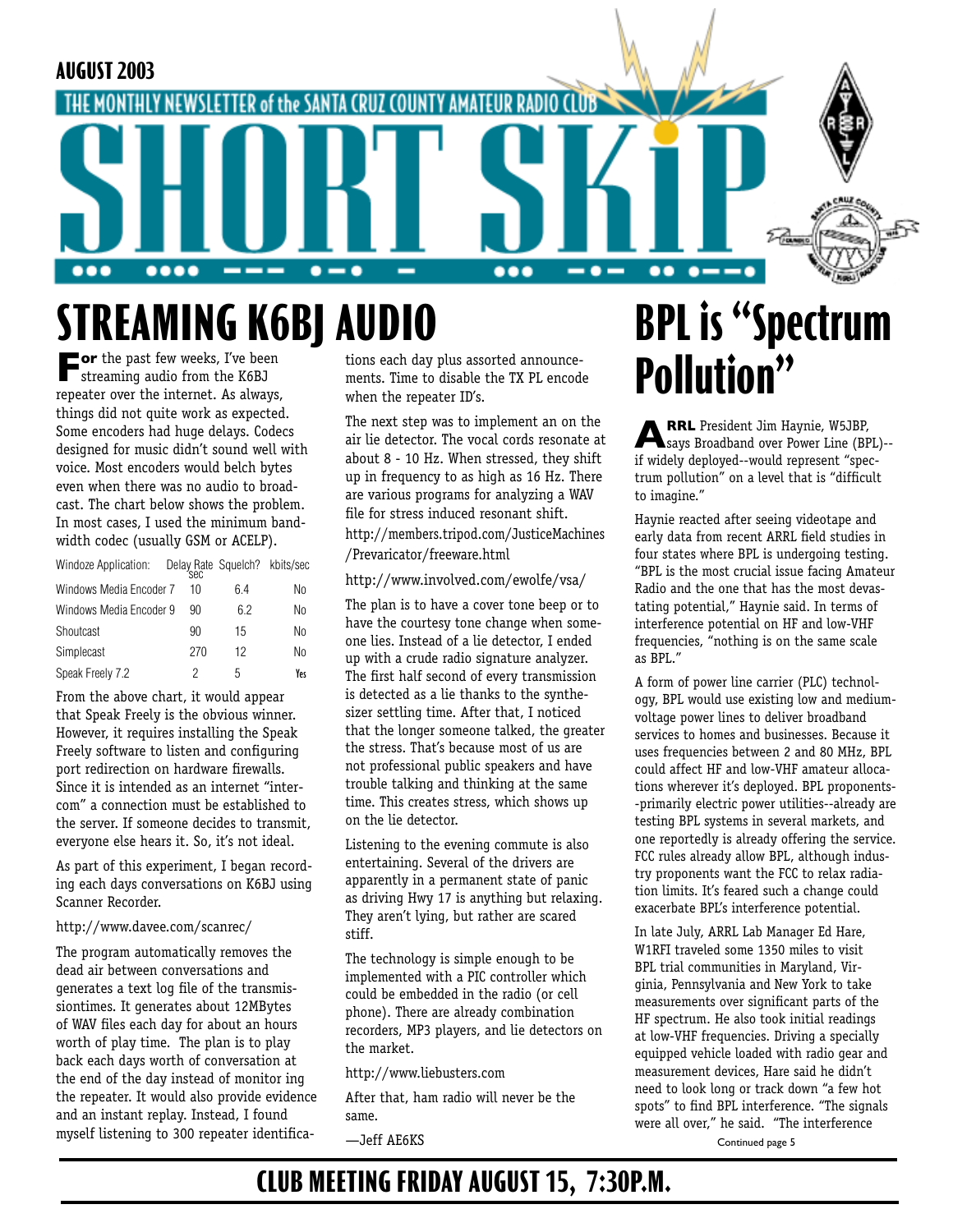

# **STREAMING K6BJ AUDIO**

**For** the past few weeks, I've been streaming audio from the K6BJ repeater over the internet. As always, things did not quite work as expected. Some encoders had huge delays. Codecs designed for music didn't sound well with voice. Most encoders would belch bytes even when there was no audio to broadcast. The chart below shows the problem. In most cases, I used the minimum bandwidth codec (usually GSM or ACELP).

| Windoze Application:    | Delay Rate Squelch? kbits/sec<br>sec |    |     |
|-------------------------|--------------------------------------|----|-----|
| Windows Media Encoder 7 | 10                                   | 64 | No  |
| Windows Media Encoder 9 | 90                                   | 62 | No  |
| Shoutcast               | 90                                   | 15 | No  |
| Simplecast              | 270                                  | 12 | No  |
| Speak Freely 7.2        | 2                                    | 5  | Yes |

From the above chart, it would appear that Speak Freely is the obvious winner. However, it requires installing the Speak Freely software to listen and configuring port redirection on hardware firewalls. Since it is intended as an internet "intercom" a connection must be established to the server. If someone decides to transmit, everyone else hears it. So, it's not ideal.

As part of this experiment, I began recording each days conversations on K6BJ using Scanner Recorder.

#### http://www.davee.com/scanrec/

The program automatically removes the dead air between conversations and generates a text log file of the transmissiontimes. It generates about 12MBytes of WAV files each day for about an hours worth of play time. The plan is to play back each days worth of conversation at the end of the day instead of monitor ing the repeater. It would also provide evidence and an instant replay. Instead, I found myself listening to 300 repeater identifications each day plus assorted announcements. Time to disable the TX PL encode when the repeater ID's.

The next step was to implement an on the air lie detector. The vocal cords resonate at about 8 - 10 Hz. When stressed, they shift up in frequency to as high as 16 Hz. There are various programs for analyzing a WAV file for stress induced resonant shift. http://members.tripod.com/JusticeMachines /Prevaricator/freeware.html

#### http://www.involved.com/ewolfe/vsa/

The plan is to have a cover tone beep or to have the courtesy tone change when someone lies. Instead of a lie detector, I ended up with a crude radio signature analyzer. The first half second of every transmission is detected as a lie thanks to the synthesizer settling time. After that, I noticed that the longer someone talked, the greater the stress. That's because most of us are not professional public speakers and have trouble talking and thinking at the same time. This creates stress, which shows up on the lie detector.

Listening to the evening commute is also entertaining. Several of the drivers are apparently in a permanent state of panic as driving Hwy 17 is anything but relaxing. They aren't lying, but rather are scared stiff.

The technology is simple enough to be implemented with a PIC controller which could be embedded in the radio (or cell phone). There are already combination recorders, MP3 players, and lie detectors on the market.

http://www.liebusters.com

After that, ham radio will never be the same.

—Jeff AE6KS

# **BPL is "Spectrum Pollution"**

**ARRL** President Jim Haynie, W5JBP, says Broadband over Power Line (BPL)- if widely deployed--would represent "spectrum pollution" on a level that is "difficult to imagine."

Haynie reacted after seeing videotape and early data from recent ARRL field studies in four states where BPL is undergoing testing. "BPL is the most crucial issue facing Amateur Radio and the one that has the most devastating potential," Haynie said. In terms of interference potential on HF and low-VHF frequencies, "nothing is on the same scale as BPL."

A form of power line carrier (PLC) technology, BPL would use existing low and mediumvoltage power lines to deliver broadband services to homes and businesses. Because it uses frequencies between 2 and 80 MHz, BPL could affect HF and low-VHF amateur allocations wherever it's deployed. BPL proponents- -primarily electric power utilities--already are testing BPL systems in several markets, and one reportedly is already offering the service. FCC rules already allow BPL, although industry proponents want the FCC to relax radiation limits. It's feared such a change could exacerbate BPL's interference potential.

In late July, ARRL Lab Manager Ed Hare, W1RFI traveled some 1350 miles to visit BPL trial communities in Maryland, Virginia, Pennsylvania and New York to take measurements over significant parts of the HF spectrum. He also took initial readings at low-VHF frequencies. Driving a specially equipped vehicle loaded with radio gear and measurement devices, Hare said he didn't need to look long or track down "a few hot spots" to find BPL interference. "The signals were all over," he said. "The interference

Continued page 5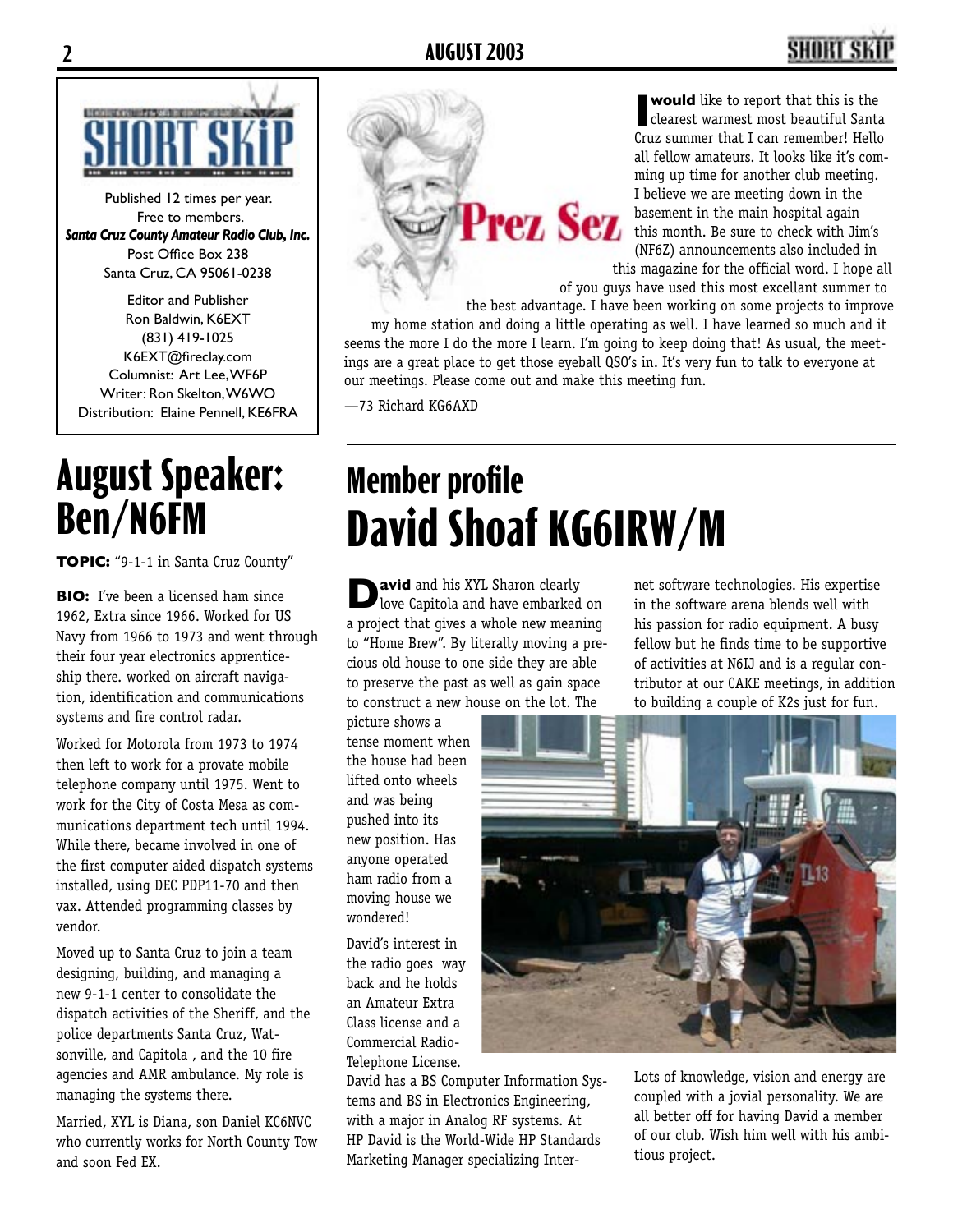## **2 AUGUST 2003 3**



Published 12 times per year. Free to members. *Santa Cruz County Amateur Radio Club, Inc.* Post Office Box 238 Santa Cruz, CA 95061-0238

Editor and Publisher Ron Baldwin, K6EXT (831) 419-1025 K6EXT@fireclay.com Columnist: Art Lee, WF6P Writer: Ron Skelton, W6WO Distribution: Elaine Pennell, KE6FRA

## **August Speaker: Ben/N6FM**

**TOPIC:** "9-1-1 in Santa Cruz County"

**BIO:** I've been a licensed ham since 1962, Extra since 1966. Worked for US Navy from 1966 to 1973 and went through their four year electronics apprenticeship there. worked on aircraft navigation, identification and communications systems and fire control radar.

Worked for Motorola from 1973 to 1974 then left to work for a provate mobile telephone company until 1975. Went to work for the City of Costa Mesa as communications department tech until 1994. While there, became involved in one of the first computer aided dispatch systems installed, using DEC PDP11-70 and then vax. Attended programming classes by vendor.

Moved up to Santa Cruz to join a team designing, building, and managing a new 9-1-1 center to consolidate the dispatch activities of the Sheriff, and the police departments Santa Cruz, Watsonville, and Capitola , and the 10 fire agencies and AMR ambulance. My role is managing the systems there.

Married, XYL is Diana, son Daniel KC6NVC who currently works for North County Tow and soon Fed EX.

**Would** like to report that this is the clearest warmest most beautiful Santa Cruz summer that I can remember! Hello all fellow amateurs. It looks like it's comming up time for another club meeting. I believe we are meeting down in the basement in the main hospital again this month. Be sure to check with Jim's (NF6Z) announcements also included in this magazine for the official word. I hope all

of you guys have used this most excellant summer to

the best advantage. I have been working on some projects to improve my home station and doing a little operating as well. I have learned so much and it seems the more I do the more I learn. I'm going to keep doing that! As usual, the meetings are a great place to get those eyeball QSO's in. It's very fun to talk to everyone at our meetings. Please come out and make this meeting fun.

—73 Richard KG6AXD

# **Member profile David Shoaf KG6IRW/M**

Prez Sez

**D** avid and his XYL Sharon clearly love Capitola and have embarked on a project that gives a whole new meaning to "Home Brew". By literally moving a precious old house to one side they are able to preserve the past as well as gain space to construct a new house on the lot. The

picture shows a tense moment when the house had been lifted onto wheels and was being pushed into its new position. Has anyone operated ham radio from a moving house we wondered!

David's interest in the radio goes way back and he holds an Amateur Extra Class license and a Commercial Radio-Telephone License.

David has a BS Computer Information Systems and BS in Electronics Engineering, with a major in Analog RF systems. At HP David is the World-Wide HP Standards Marketing Manager specializing Inter-

net software technologies. His expertise in the software arena blends well with his passion for radio equipment. A busy fellow but he finds time to be supportive of activities at N6IJ and is a regular contributor at our CAKE meetings, in addition to building a couple of K2s just for fun.



Lots of knowledge, vision and energy are coupled with a jovial personality. We are all better off for having David a member of our club. Wish him well with his ambitious project.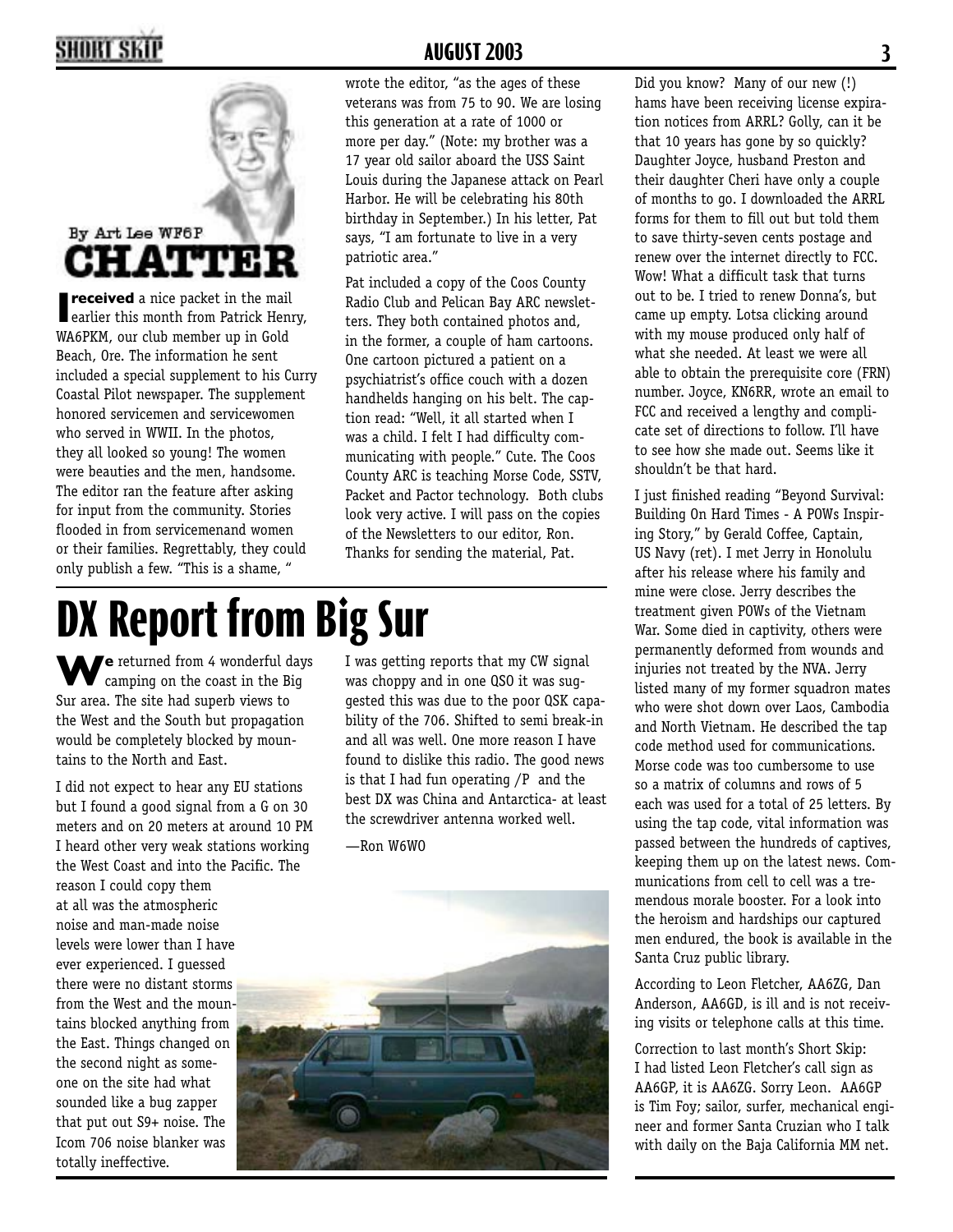## **2 AUGUST 2003 3**



**I received** a nice packet in the mail<br>earlier this month from Patrick Henry, WA6PKM, our club member up in Gold Beach, Ore. The information he sent included a special supplement to his Curry Coastal Pilot newspaper. The supplement honored servicemen and servicewomen who served in WWII. In the photos, they all looked so young! The women were beauties and the men, handsome. The editor ran the feature after asking for input from the community. Stories flooded in from servicemenand women or their families. Regrettably, they could only publish a few. "This is a shame, "

wrote the editor, "as the ages of these veterans was from 75 to 90. We are losing this generation at a rate of 1000 or more per day." (Note: my brother was a 17 year old sailor aboard the USS Saint Louis during the Japanese attack on Pearl Harbor. He will be celebrating his 80th birthday in September.) In his letter, Pat says, "I am fortunate to live in a very patriotic area."

Pat included a copy of the Coos County Radio Club and Pelican Bay ARC newsletters. They both contained photos and, in the former, a couple of ham cartoons. One cartoon pictured a patient on a psychiatrist's office couch with a dozen handhelds hanging on his belt. The caption read: "Well, it all started when I was a child. I felt I had difficulty communicating with people." Cute. The Coos County ARC is teaching Morse Code, SSTV, Packet and Pactor technology. Both clubs look very active. I will pass on the copies of the Newsletters to our editor, Ron. Thanks for sending the material, Pat.

# **DX Report from Big Sur**

We returned from 4 wonderful days camping on the coast in the Big Sur area. The site had superb views to the West and the South but propagation would be completely blocked by mountains to the North and East.

I did not expect to hear any EU stations but I found a good signal from a G on 30 meters and on 20 meters at around 10 PM I heard other very weak stations working the West Coast and into the Pacific. The reason I could copy them at all was the atmospheric noise and man-made noise levels were lower than I have ever experienced. I guessed there were no distant storms from the West and the mountains blocked anything from the East. Things changed on the second night as someone on the site had what sounded like a bug zapper that put out S9+ noise. The Icom 706 noise blanker was totally ineffective.

I was getting reports that my CW signal was choppy and in one QSO it was suggested this was due to the poor QSK capability of the 706. Shifted to semi break-in and all was well. One more reason I have found to dislike this radio. The good news is that I had fun operating /P and the best DX was China and Antarctica- at least the screwdriver antenna worked well.

—Ron W6WO



Did you know? Many of our new (!) hams have been receiving license expiration notices from ARRL? Golly, can it be that 10 years has gone by so quickly? Daughter Joyce, husband Preston and their daughter Cheri have only a couple of months to go. I downloaded the ARRL forms for them to fill out but told them to save thirty-seven cents postage and renew over the internet directly to FCC. Wow! What a difficult task that turns out to be. I tried to renew Donna's, but came up empty. Lotsa clicking around with my mouse produced only half of what she needed. At least we were all able to obtain the prerequisite core (FRN) number. Joyce, KN6RR, wrote an email to FCC and received a lengthy and complicate set of directions to follow. I'll have to see how she made out. Seems like it shouldn't be that hard.

I just finished reading "Beyond Survival: Building On Hard Times - A POWs Inspiring Story," by Gerald Coffee, Captain, US Navy (ret). I met Jerry in Honolulu after his release where his family and mine were close. Jerry describes the treatment given POWs of the Vietnam War. Some died in captivity, others were permanently deformed from wounds and injuries not treated by the NVA. Jerry listed many of my former squadron mates who were shot down over Laos, Cambodia and North Vietnam. He described the tap code method used for communications. Morse code was too cumbersome to use so a matrix of columns and rows of 5 each was used for a total of 25 letters. By using the tap code, vital information was passed between the hundreds of captives, keeping them up on the latest news. Communications from cell to cell was a tremendous morale booster. For a look into the heroism and hardships our captured men endured, the book is available in the Santa Cruz public library.

According to Leon Fletcher, AA6ZG, Dan Anderson, AA6GD, is ill and is not receiving visits or telephone calls at this time.

Correction to last month's Short Skip: I had listed Leon Fletcher's call sign as AA6GP, it is AA6ZG. Sorry Leon. AA6GP is Tim Foy; sailor, surfer, mechanical engineer and former Santa Cruzian who I talk with daily on the Baja California MM net.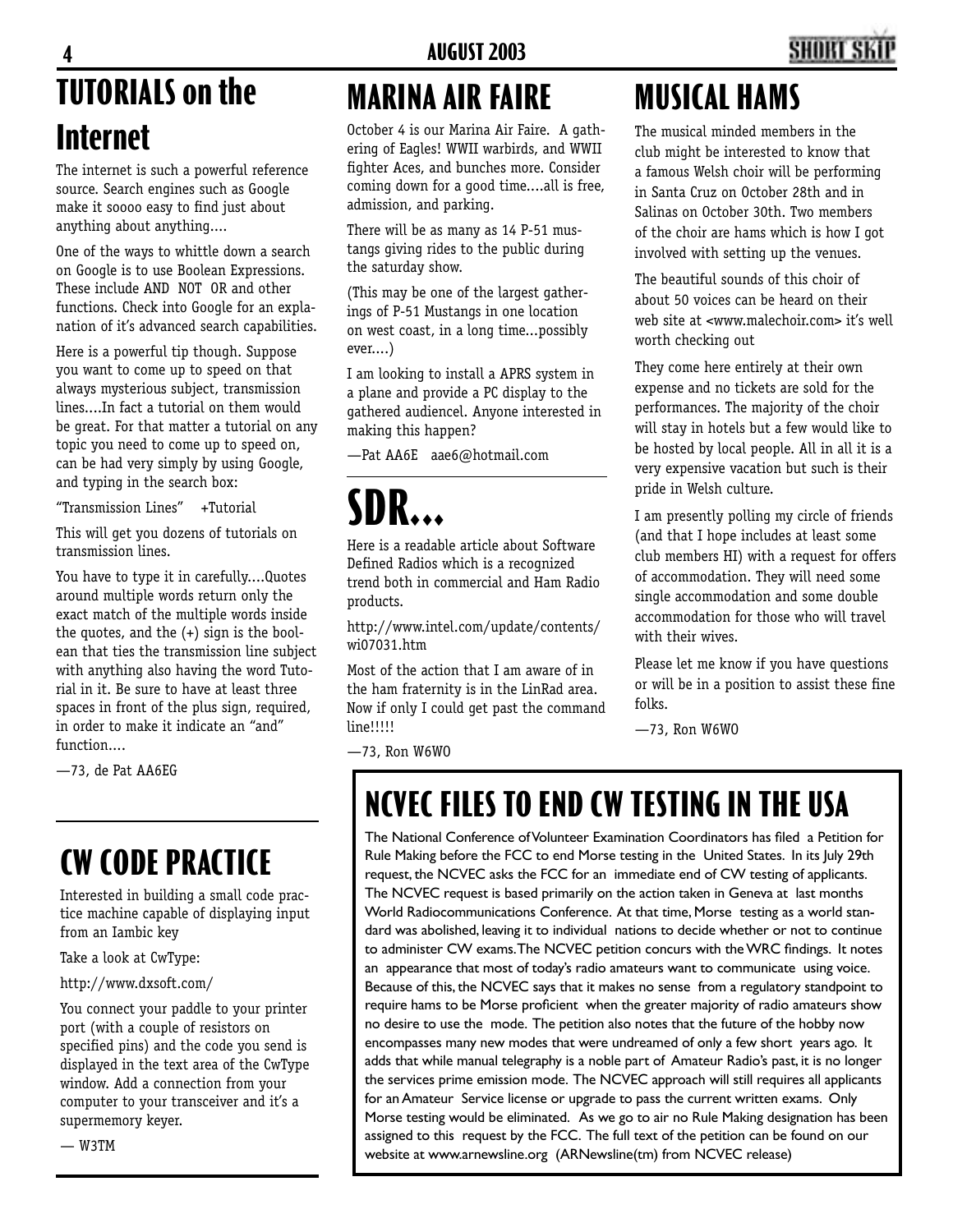## **TUTORIALS on the Internet 4 AUGUST 2003 5**

The internet is such a powerful reference source. Search engines such as Google make it soooo easy to find just about anything about anything....

One of the ways to whittle down a search on Google is to use Boolean Expressions. These include AND NOT OR and other functions. Check into Google for an explanation of it's advanced search capabilities.

Here is a powerful tip though. Suppose you want to come up to speed on that always mysterious subject, transmission lines....In fact a tutorial on them would be great. For that matter a tutorial on any topic you need to come up to speed on, can be had very simply by using Google, and typing in the search box:

"Transmission Lines" +Tutorial

This will get you dozens of tutorials on transmission lines.

You have to type it in carefully....Quotes around multiple words return only the exact match of the multiple words inside the quotes, and the (+) sign is the boolean that ties the transmission line subject with anything also having the word Tutorial in it. Be sure to have at least three spaces in front of the plus sign, required, in order to make it indicate an "and" function....

—73, de Pat AA6EG

## **CW CODE PRACTICE**

Interested in building a small code practice machine capable of displaying input from an Iambic key

Take a look at CwType:

http://www.dxsoft.com/

You connect your paddle to your printer port (with a couple of resistors on specified pins) and the code you send is displayed in the text area of the CwType window. Add a connection from your computer to your transceiver and it's a supermemory keyer.

— W3TM

## **MARINA AIR FAIRE**

October 4 is our Marina Air Faire. A gathering of Eagles! WWII warbirds, and WWII fighter Aces, and bunches more. Consider coming down for a good time....all is free, admission, and parking.

There will be as many as 14 P-51 mustangs giving rides to the public during the saturday show.

(This may be one of the largest gatherings of P-51 Mustangs in one location on west coast, in a long time...possibly ever....)

I am looking to install a APRS system in a plane and provide a PC display to the gathered audiencel. Anyone interested in making this happen?

—Pat AA6E aae6@hotmail.com

# **SDR...**

Here is a readable article about Software Defined Radios which is a recognized trend both in commercial and Ham Radio products.

http://www.intel.com/update/contents/ wi07031.htm

Most of the action that I am aware of in the ham fraternity is in the LinRad area. Now if only I could get past the command line!!!!!

## **MUSICAL HAMS**

The musical minded members in the club might be interested to know that a famous Welsh choir will be performing in Santa Cruz on October 28th and in Salinas on October 30th. Two members of the choir are hams which is how I got involved with setting up the venues.

The beautiful sounds of this choir of about 50 voices can be heard on their web site at <www.malechoir.com> it's well worth checking out

They come here entirely at their own expense and no tickets are sold for the performances. The majority of the choir will stay in hotels but a few would like to be hosted by local people. All in all it is a very expensive vacation but such is their pride in Welsh culture.

I am presently polling my circle of friends (and that I hope includes at least some club members HI) with a request for offers of accommodation. They will need some single accommodation and some double accommodation for those who will travel with their wives.

Please let me know if you have questions or will be in a position to assist these fine folks.

—73, Ron W6WO

—73, Ron W6WO

## **NCVEC FILES TO END CW TESTING IN THE USA**

The National Conference of Volunteer Examination Coordinators has filed a Petition for Rule Making before the FCC to end Morse testing in the United States. In its July 29th request, the NCVEC asks the FCC for an immediate end of CW testing of applicants. The NCVEC request is based primarily on the action taken in Geneva at last months World Radiocommunications Conference. At that time, Morse testing as a world standard was abolished, leaving it to individual nations to decide whether or not to continue to administer CW exams. The NCVEC petition concurs with the WRC findings. It notes an appearance that most of today's radio amateurs want to communicate using voice. Because of this, the NCVEC says that it makes no sense from a regulatory standpoint to require hams to be Morse proficient when the greater majority of radio amateurs show no desire to use the mode. The petition also notes that the future of the hobby now encompasses many new modes that were undreamed of only a few short years ago. It adds that while manual telegraphy is a noble part of Amateur Radio's past, it is no longer the services prime emission mode. The NCVEC approach will still requires all applicants for an Amateur Service license or upgrade to pass the current written exams. Only Morse testing would be eliminated. As we go to air no Rule Making designation has been assigned to this request by the FCC. The full text of the petition can be found on our website at www.arnewsline.org (ARNewsline(tm) from NCVEC release)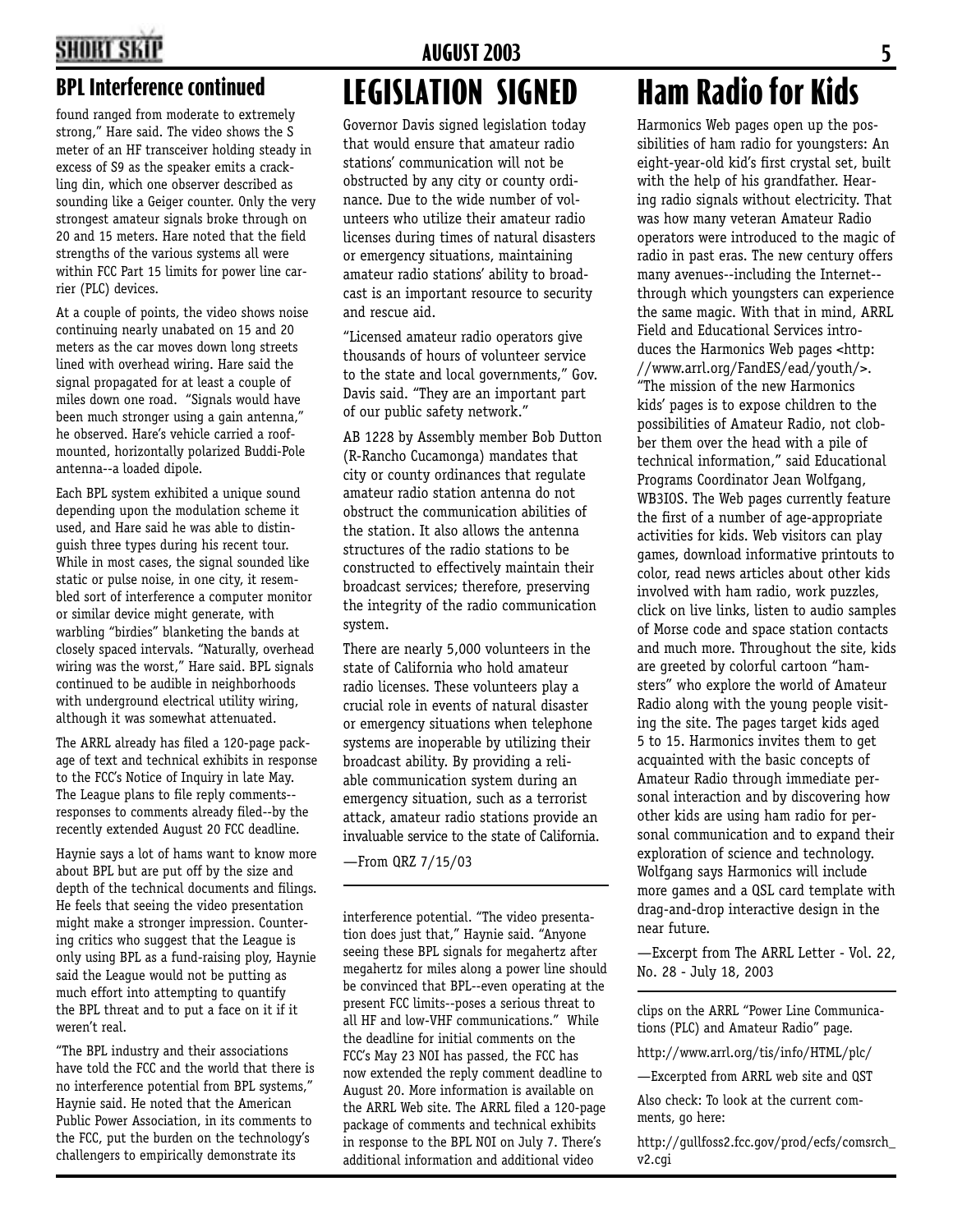### **BPL Interference continued**

found ranged from moderate to extremely strong," Hare said. The video shows the S meter of an HF transceiver holding steady in excess of S9 as the speaker emits a crackling din, which one observer described as sounding like a Geiger counter. Only the very strongest amateur signals broke through on 20 and 15 meters. Hare noted that the field strengths of the various systems all were within FCC Part 15 limits for power line carrier (PLC) devices.

At a couple of points, the video shows noise continuing nearly unabated on 15 and 20 meters as the car moves down long streets lined with overhead wiring. Hare said the signal propagated for at least a couple of miles down one road. "Signals would have been much stronger using a gain antenna," he observed. Hare's vehicle carried a roofmounted, horizontally polarized Buddi-Pole antenna--a loaded dipole.

Each BPL system exhibited a unique sound depending upon the modulation scheme it used, and Hare said he was able to distinguish three types during his recent tour. While in most cases, the signal sounded like static or pulse noise, in one city, it resembled sort of interference a computer monitor or similar device might generate, with warbling "birdies" blanketing the bands at closely spaced intervals. "Naturally, overhead wiring was the worst," Hare said. BPL signals continued to be audible in neighborhoods with underground electrical utility wiring, although it was somewhat attenuated.

The ARRL already has filed a 120-page package of text and technical exhibits in response to the FCC's Notice of Inquiry in late May. The League plans to file reply comments- responses to comments already filed--by the recently extended August 20 FCC deadline.

Haynie says a lot of hams want to know more about BPL but are put off by the size and depth of the technical documents and filings. He feels that seeing the video presentation might make a stronger impression. Countering critics who suggest that the League is only using BPL as a fund-raising ploy, Haynie said the League would not be putting as much effort into attempting to quantify the BPL threat and to put a face on it if it weren't real.

"The BPL industry and their associations have told the FCC and the world that there is no interference potential from BPL systems," Haynie said. He noted that the American Public Power Association, in its comments to the FCC, put the burden on the technology's challengers to empirically demonstrate its

### **LEGISLATION SIGNED 4 AUGUST 2003 5**

Governor Davis signed legislation today that would ensure that amateur radio stations' communication will not be obstructed by any city or county ordinance. Due to the wide number of volunteers who utilize their amateur radio licenses during times of natural disasters or emergency situations, maintaining amateur radio stations' ability to broadcast is an important resource to security and rescue aid.

"Licensed amateur radio operators give thousands of hours of volunteer service to the state and local governments," Gov. Davis said. "They are an important part of our public safety network."

AB 1228 by Assembly member Bob Dutton (R-Rancho Cucamonga) mandates that city or county ordinances that regulate amateur radio station antenna do not obstruct the communication abilities of the station. It also allows the antenna structures of the radio stations to be constructed to effectively maintain their broadcast services; therefore, preserving the integrity of the radio communication system.

There are nearly 5,000 volunteers in the state of California who hold amateur radio licenses. These volunteers play a crucial role in events of natural disaster or emergency situations when telephone systems are inoperable by utilizing their broadcast ability. By providing a reliable communication system during an emergency situation, such as a terrorist attack, amateur radio stations provide an invaluable service to the state of California.

—From QRZ 7/15/03

interference potential. "The video presentation does just that," Haynie said. "Anyone seeing these BPL signals for megahertz after megahertz for miles along a power line should be convinced that BPL--even operating at the present FCC limits--poses a serious threat to all HF and low-VHF communications." While the deadline for initial comments on the FCC's May 23 NOI has passed, the FCC has now extended the reply comment deadline to August 20. More information is available on the ARRL Web site. The ARRL filed a 120-page package of comments and technical exhibits in response to the BPL NOI on July 7. There's additional information and additional video

## **Ham Radio for Kids**

Harmonics Web pages open up the possibilities of ham radio for youngsters: An eight-year-old kid's first crystal set, built with the help of his grandfather. Hearing radio signals without electricity. That was how many veteran Amateur Radio operators were introduced to the magic of radio in past eras. The new century offers many avenues--including the Internet- through which youngsters can experience the same magic. With that in mind, ARRL Field and Educational Services introduces the Harmonics Web pages <http: //www.arrl.org/FandES/ead/youth/>. "The mission of the new Harmonics kids' pages is to expose children to the possibilities of Amateur Radio, not clobber them over the head with a pile of technical information," said Educational Programs Coordinator Jean Wolfgang, WB3IOS. The Web pages currently feature the first of a number of age-appropriate activities for kids. Web visitors can play games, download informative printouts to color, read news articles about other kids involved with ham radio, work puzzles, click on live links, listen to audio samples of Morse code and space station contacts and much more. Throughout the site, kids are greeted by colorful cartoon "hamsters" who explore the world of Amateur Radio along with the young people visiting the site. The pages target kids aged 5 to 15. Harmonics invites them to get acquainted with the basic concepts of Amateur Radio through immediate personal interaction and by discovering how other kids are using ham radio for personal communication and to expand their exploration of science and technology. Wolfgang says Harmonics will include more games and a QSL card template with drag-and-drop interactive design in the near future.

—Excerpt from The ARRL Letter - Vol. 22, No. 28 - July 18, 2003

clips on the ARRL "Power Line Communications (PLC) and Amateur Radio" page.

http://www.arrl.org/tis/info/HTML/plc/

—Excerpted from ARRL web site and QST

Also check: To look at the current comments, go here:

http://gullfoss2.fcc.gov/prod/ecfs/comsrch\_ v2.cgi